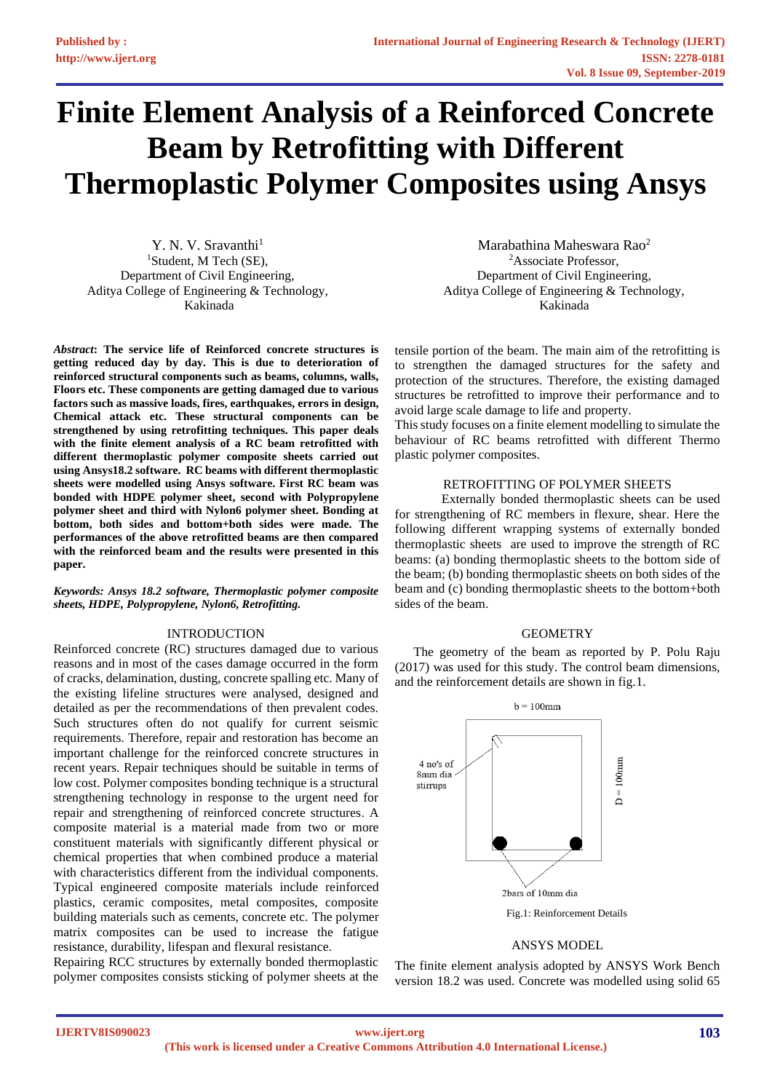# **Finite Element Analysis of a Reinforced Concrete Beam by Retrofitting with Different Thermoplastic Polymer Composites using Ansys**

Y. N. V. Sravanthi<sup>1</sup> <sup>1</sup>Student, M Tech (SE), Department of Civil Engineering, Aditya College of Engineering & Technology, Kakinada

*Abstract***: The service life of Reinforced concrete structures is getting reduced day by day. This is due to deterioration of reinforced structural components such as beams, columns, walls, Floors etc. These components are getting damaged due to various factors such as massive loads, fires, earthquakes, errors in design, Chemical attack etc. These structural components can be strengthened by using retrofitting techniques. This paper deals with the finite element analysis of a RC beam retrofitted with different thermoplastic polymer composite sheets carried out using Ansys18.2 software. RC beams with different thermoplastic sheets were modelled using Ansys software. First RC beam was bonded with HDPE polymer sheet, second with Polypropylene polymer sheet and third with Nylon6 polymer sheet. Bonding at bottom, both sides and bottom+both sides were made. The performances of the above retrofitted beams are then compared with the reinforced beam and the results were presented in this paper.**

*Keywords: Ansys 18.2 software, Thermoplastic polymer composite sheets, HDPE, Polypropylene, Nylon6, Retrofitting.*

## INTRODUCTION

Reinforced concrete (RC) structures damaged due to various reasons and in most of the cases damage occurred in the form of cracks, delamination, dusting, concrete spalling etc. Many of the existing lifeline structures were analysed, designed and detailed as per the recommendations of then prevalent codes. Such structures often do not qualify for current seismic requirements. Therefore, repair and restoration has become an important challenge for the reinforced concrete structures in recent years. Repair techniques should be suitable in terms of low cost. Polymer composites bonding technique is a structural strengthening technology in response to the urgent need for repair and strengthening of reinforced concrete structures. A composite material is a material made from two or more constituent materials with significantly different physical or chemical properties that when combined produce a material with characteristics different from the individual components. Typical engineered composite materials include reinforced plastics, ceramic composites, metal composites, composite building materials such as cements, concrete etc. The polymer matrix composites can be used to increase the fatigue resistance, durability, lifespan and flexural resistance.

Repairing RCC structures by externally bonded thermoplastic polymer composites consists sticking of polymer sheets at the

Marabathina Maheswara Rao<sup>2</sup> <sup>2</sup>Associate Professor, Department of Civil Engineering, Aditya College of Engineering & Technology, Kakinada

tensile portion of the beam. The main aim of the retrofitting is to strengthen the damaged structures for the safety and protection of the structures. Therefore, the existing damaged structures be retrofitted to improve their performance and to avoid large scale damage to life and property.

This study focuses on a finite element modelling to simulate the behaviour of RC beams retrofitted with different Thermo plastic polymer composites.

#### RETROFITTING OF POLYMER SHEETS

Externally bonded thermoplastic sheets can be used for strengthening of RC members in flexure, shear. Here the following different wrapping systems of externally bonded thermoplastic sheets are used to improve the strength of RC beams: (a) bonding thermoplastic sheets to the bottom side of the beam; (b) bonding thermoplastic sheets on both sides of the beam and (c) bonding thermoplastic sheets to the bottom+both sides of the beam.

#### **GEOMETRY**

The geometry of the beam as reported by P. Polu Raju (2017) was used for this study. The control beam dimensions, and the reinforcement details are shown in fig.1.



#### ANSYS MODEL

The finite element analysis adopted by ANSYS Work Bench version 18.2 was used. Concrete was modelled using solid 65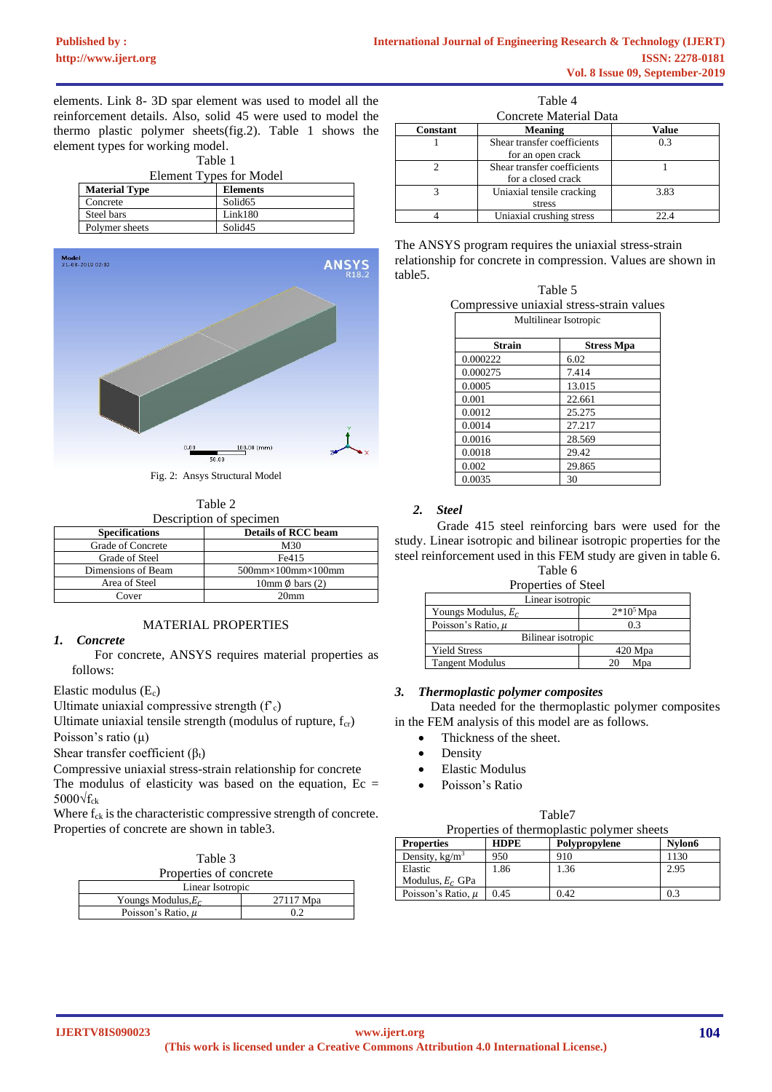elements. Link 8- 3D spar element was used to model all the reinforcement details. Also, solid 45 were used to model the thermo plastic polymer sheets(fig.2). Table 1 shows the element types for working model.

| Table 1                 |                     |
|-------------------------|---------------------|
| Element Types for Model |                     |
| <b>Material Type</b>    | <b>Elements</b>     |
| Concrete                | Solid <sub>65</sub> |
| Steel bars              | Link180             |
| Polymer sheets          | Solid <sub>45</sub> |



Fig. 2: Ansys Structural Model

Table 2 Description of specimen

| <b>Specifications</b> | <b>Details of RCC beam</b>             |
|-----------------------|----------------------------------------|
| Grade of Concrete     | M30                                    |
| Grade of Steel        | Fe415                                  |
| Dimensions of Beam    | $500$ mm $\times$ 100mm $\times$ 100mm |
| Area of Steel         | 10mm $\emptyset$ bars (2)              |
| Cover                 | 20mm                                   |

# MATERIAL PROPERTIES

# *1. Concrete*

 For concrete, ANSYS requires material properties as follows:

## Elastic modulus (Ec)

Ultimate uniaxial compressive strength  $(f_c)$ 

Ultimate uniaxial tensile strength (modulus of rupture,  $f_{cr}$ ) Poisson's ratio (μ)

Shear transfer coefficient  $(\beta_t)$ 

Compressive uniaxial stress-strain relationship for concrete The modulus of elasticity was based on the equation,  $Ec =$ 5000 $\sqrt{f_{ck}}$ 

Where  $f_{ck}$  is the characteristic compressive strength of concrete. Properties of concrete are shown in table3.

| Table 3 |                        |
|---------|------------------------|
|         | Properties of concrete |

| rioperues of concrete  |           |
|------------------------|-----------|
| Linear Isotropic       |           |
| Youngs Modulus, $E_c$  | 27117 Mpa |
| Poisson's Ratio. $\mu$ |           |

|                        | Table 4                                           |       |  |  |  |  |  |  |  |  |  |
|------------------------|---------------------------------------------------|-------|--|--|--|--|--|--|--|--|--|
| Concrete Material Data |                                                   |       |  |  |  |  |  |  |  |  |  |
| <b>Constant</b>        | <b>Meaning</b>                                    | Value |  |  |  |  |  |  |  |  |  |
|                        | Shear transfer coefficients<br>for an open crack  | 0.3   |  |  |  |  |  |  |  |  |  |
|                        | Shear transfer coefficients<br>for a closed crack |       |  |  |  |  |  |  |  |  |  |
| 3                      | Uniaxial tensile cracking<br>stress               | 3.83  |  |  |  |  |  |  |  |  |  |
|                        | Uniaxial crushing stress                          | 22 A  |  |  |  |  |  |  |  |  |  |

The ANSYS program requires the uniaxial stress-strain relationship for concrete in compression. Values are shown in table5.

| Table 5                                   |  |
|-------------------------------------------|--|
| Compressive uniaxial stress-strain values |  |

|               | Multilinear Isotropic |
|---------------|-----------------------|
| <b>Strain</b> | <b>Stress Mpa</b>     |
| 0.000222      | 6.02                  |
| 0.000275      | 7.414                 |
| 0.0005        | 13.015                |
| 0.001         | 22.661                |
| 0.0012        | 25.275                |
| 0.0014        | 27.217                |
| 0.0016        | 28.569                |
| 0.0018        | 29.42                 |
| 0.002         | 29.865                |
| 0.0035        | 30                    |

# *2. Steel*

 Grade 415 steel reinforcing bars were used for the study. Linear isotropic and bilinear isotropic properties for the steel reinforcement used in this FEM study are given in table 6.

Table 6

| Properties of Steel    |             |
|------------------------|-------------|
| Linear isotropic       |             |
| Youngs Modulus, $E_c$  | $2*105$ Mpa |
| Poisson's Ratio. $\mu$ | 0.3         |
| Bilinear isotropic     |             |
| <b>Yield Stress</b>    | 420 Mpa     |
| <b>Tangent Modulus</b> | Mpa<br>20   |

# *3. Thermoplastic polymer composites*

 Data needed for the thermoplastic polymer composites in the FEM analysis of this model are as follows.

- Thickness of the sheet.
- **Density**
- Elastic Modulus
- Poisson's Ratio

|                                            | Table7 |  |
|--------------------------------------------|--------|--|
| Properties of thermoplastic polymer sheets |        |  |

| <b>Properties</b>      | <b>HDPE</b> | Polypropylene | Nvlon6 |
|------------------------|-------------|---------------|--------|
| Density, $kg/m3$       | 950         | 910           | 1130   |
| Elastic                | 1.86        | 1.36          | 2.95   |
| Modulus, $E_c$ GPa     |             |               |        |
| Poisson's Ratio, $\mu$ | 0.45        | 0.42          | 0.3    |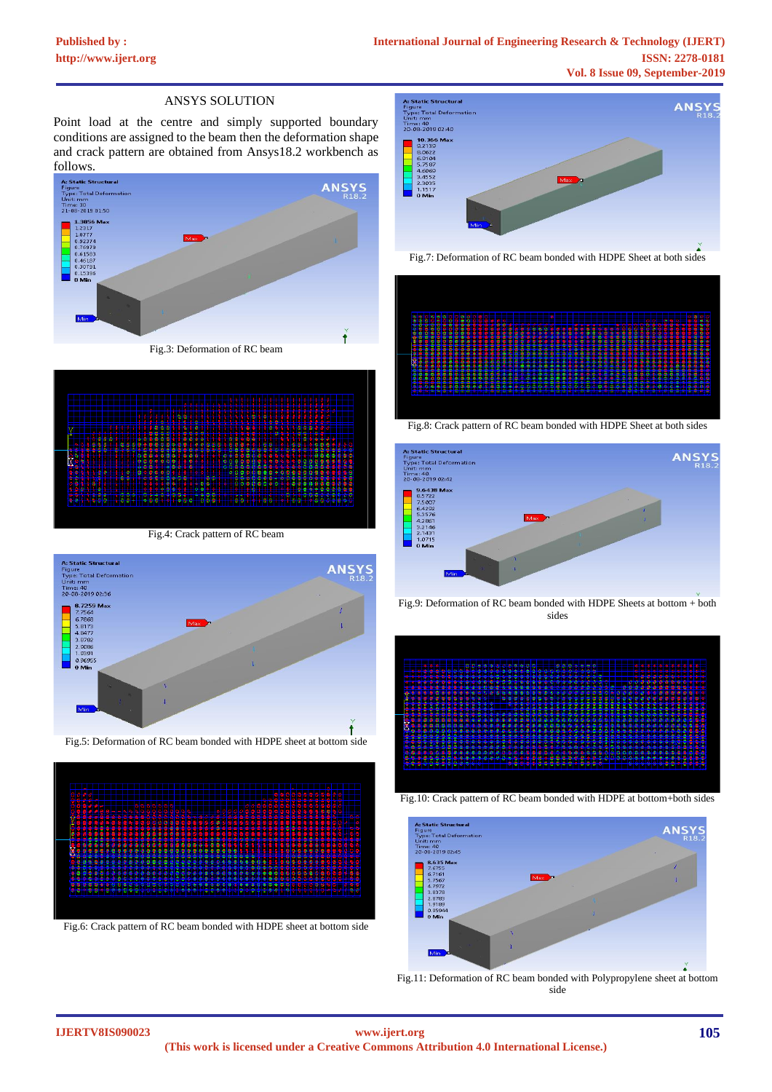## ANSYS SOLUTION

Point load at the centre and simply supported boundary conditions are assigned to the beam then the deformation shape and crack pattern are obtained from Ansys18.2 workbench as



Fig.3: Deformation of RC beam

|    |    |  |   |   |                   |    |    |                          |   |    |    |   |                  |      |   |        | w |             |   |   |   |   |     |   | <b>NNK</b>    |   |               |   | والأراء |                | м |    |   |    |        |              |   |        |   |              |   |                |                |     |     |                            |                                    |
|----|----|--|---|---|-------------------|----|----|--------------------------|---|----|----|---|------------------|------|---|--------|---|-------------|---|---|---|---|-----|---|---------------|---|---------------|---|---------|----------------|---|----|---|----|--------|--------------|---|--------|---|--------------|---|----------------|----------------|-----|-----|----------------------------|------------------------------------|
|    |    |  |   |   |                   |    |    |                          |   |    |    |   |                  |      |   |        | ۳ | ۴           |   |   |   |   |     |   |               |   |               |   |         |                |   |    |   |    |        |              |   |        |   |              |   |                |                |     |     |                            |                                    |
|    |    |  |   |   |                   |    |    |                          |   |    |    |   |                  | œ    |   |        |   | ---         |   |   | ₩ |   |     |   |               |   | ---           |   |         |                |   |    |   |    |        |              |   |        |   |              |   |                |                |     |     |                            |                                    |
|    |    |  |   |   |                   |    |    |                          |   |    |    |   |                  |      |   |        |   |             |   |   | ж |   |     |   |               |   |               |   |         |                |   |    |   | Y  | ĸ      |              |   |        | Κ | Ü            |   |                |                |     |     |                            |                                    |
| д, |    |  |   |   |                   |    |    |                          |   |    |    |   | <b>Chicagons</b> |      |   | m<br>m | ш | ПJ          |   | ē | ě | ь | a l |   | .             |   | ш             |   |         |                |   |    |   |    |        |              |   |        |   |              |   | $\cdots$       |                |     |     |                            |                                    |
|    |    |  |   |   | $\frac{331}{901}$ |    |    |                          |   |    |    |   |                  |      |   |        |   |             |   |   |   |   |     |   |               |   | <b>Separa</b> |   |         |                |   |    |   |    |        |              |   | m      |   | 1            |   |                |                |     |     |                            |                                    |
|    |    |  | ģ |   |                   |    |    |                          |   |    |    |   |                  |      |   |        |   |             |   |   |   |   |     |   |               |   |               |   |         |                |   |    |   |    |        |              |   |        |   |              |   |                |                |     |     |                            |                                    |
|    |    |  |   |   |                   | ó, | Ŷ  | ė,                       | 8 |    |    |   |                  |      |   |        |   |             |   |   |   |   |     |   |               | Ť |               |   |         | <b>Aria</b> ce |   |    | Š | î, | p      | Ħ            |   |        |   | anya<br>Séda |   |                |                |     |     |                            |                                    |
| a  | ţ. |  |   |   |                   |    |    |                          |   |    |    | ÷ |                  |      |   |        |   |             |   |   |   |   |     |   |               |   |               |   |         | ٠              |   | ģ  |   |    |        |              |   |        |   |              |   | <b>SOLONO</b>  | Į              | Į   |     | ٠                          |                                    |
|    | m  |  |   |   |                   |    |    |                          |   | 小心 |    |   |                  |      |   |        |   | <u>8 70</u> |   |   |   |   |     |   | $\frac{1}{2}$ |   |               |   | 324.75  |                | ğ | s  |   |    |        | <u>41400</u> |   |        |   |              | ٠ | <b>SECTION</b> |                |     |     |                            |                                    |
| и, |    |  |   |   |                   |    |    |                          |   | 45 | Æ  |   |                  |      |   |        |   |             |   | ø |   |   |     |   |               |   |               |   |         |                |   |    |   |    |        |              |   |        |   |              |   |                |                | - 1 |     | a ser<br><b>CONTRACTOR</b> |                                    |
|    |    |  | ÷ |   |                   |    | Ħ  | æ.                       |   |    | 64 | ĝ |                  | al a |   |        |   | <u>SSEN</u> |   |   |   |   |     |   |               |   |               |   |         | 88             |   | 88 |   | ٠  | - 6    |              | b |        |   |              |   | 3388988        |                |     | - - | 60                         |                                    |
|    |    |  |   |   |                   |    | 0  | θ                        |   |    |    | G | ē                | ø    | ö |        | ō | 0           |   |   |   |   |     | Θ |               |   |               |   |         | ۰              |   |    |   | ۰  |        | ŵ            |   |        | ō | ٥            |   |                |                |     |     |                            |                                    |
|    |    |  |   |   |                   |    |    |                          | ٠ |    | s  |   |                  |      | æ | Ê      |   |             |   |   |   |   | 8   |   |               |   |               | ö | ğ       | ۵              | ĝ | 88 |   | ó  | ٠<br>٥ |              | Ŷ | ê<br>Ö |   | ñ            | ğ | AND            |                |     |     | А                          |                                    |
|    |    |  |   |   |                   |    |    |                          |   |    |    |   |                  |      |   |        |   |             |   |   |   | ٠ |     |   |               |   |               |   |         |                |   |    |   |    |        |              |   |        |   |              |   |                |                |     |     |                            |                                    |
|    |    |  |   |   | ٠                 |    |    |                          |   |    |    |   |                  |      |   |        |   |             |   |   |   |   |     |   |               |   |               |   |         |                |   |    |   |    |        |              | m |        |   |              |   |                |                |     |     |                            | $\sim$<br>$\overline{\phantom{a}}$ |
| a. |    |  | × | а | ж                 |    | ×. | $\overline{\phantom{a}}$ |   |    | Ş  | × | <b>A</b>         |      |   |        |   |             | w |   |   | r | š   | А |               |   |               | × | m       |                |   |    | ı | A  |        |              | m | $\sim$ | ÷ | ۰            |   | $\lambda$      | ĝ              | ą   |     | $-1$                       |                                    |
|    |    |  |   | ÷ | w                 |    |    |                          |   |    |    | v |                  |      |   |        |   |             |   | ė |   | v |     | w |               |   |               |   |         |                |   |    |   |    |        |              |   |        |   |              |   | ۰              | <b>SERVICE</b> |     |     | <b>SEAR DOWN</b>           |                                    |

Fig.4: Crack pattern of RC beam











Fig.8: Crack pattern of RC beam bonded with HDPE Sheet at both sides



Fig.9: Deformation of RC beam bonded with HDPE Sheets at bottom + both sides







Fig.11: Deformation of RC beam bonded with Polypropylene sheet at bottom side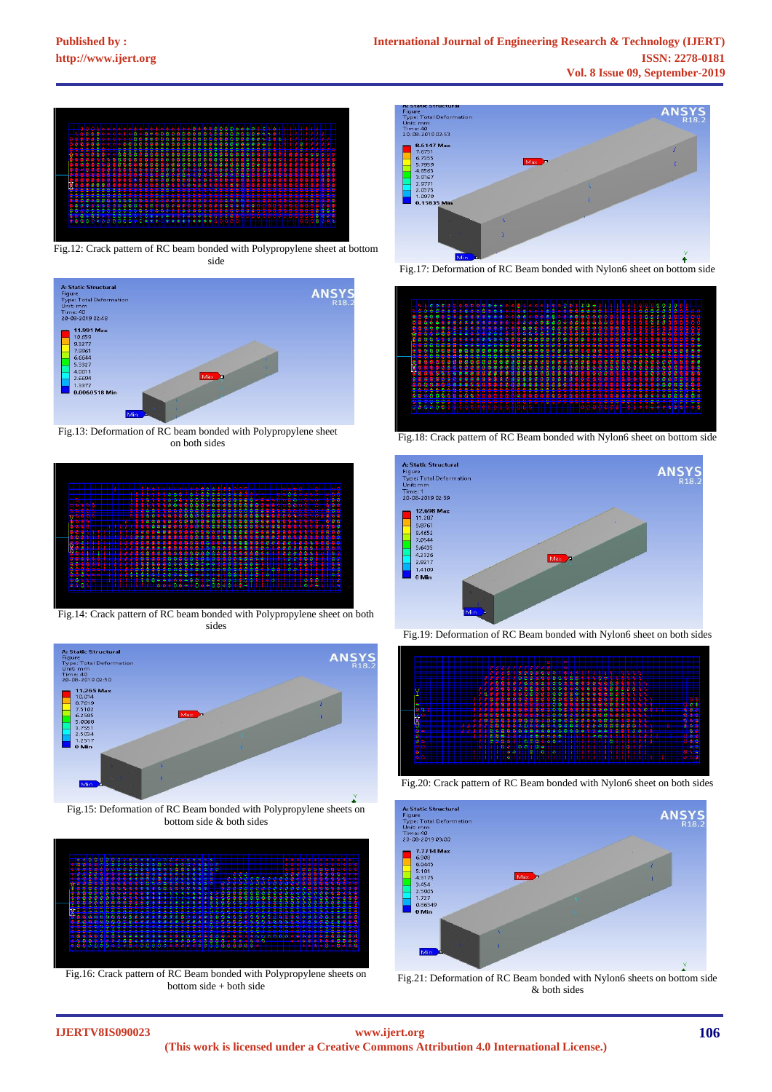

Fig.12: Crack pattern of RC beam bonded with Polypropylene sheet at bottom side



Fig.13: Deformation of RC beam bonded with Polypropylene sheet on both sides



Fig.14: Crack pattern of RC beam bonded with Polypropylene sheet on both sides



Fig.15: Deformation of RC Beam bonded with Polypropylene sheets on bottom side & both sides



Fig.16: Crack pattern of RC Beam bonded with Polypropylene sheets on bottom side + both side







Fig.19: Deformation of RC Beam bonded with Nylon6 sheet on both sides



Fig.20: Crack pattern of RC Beam bonded with Nylon6 sheet on both sides



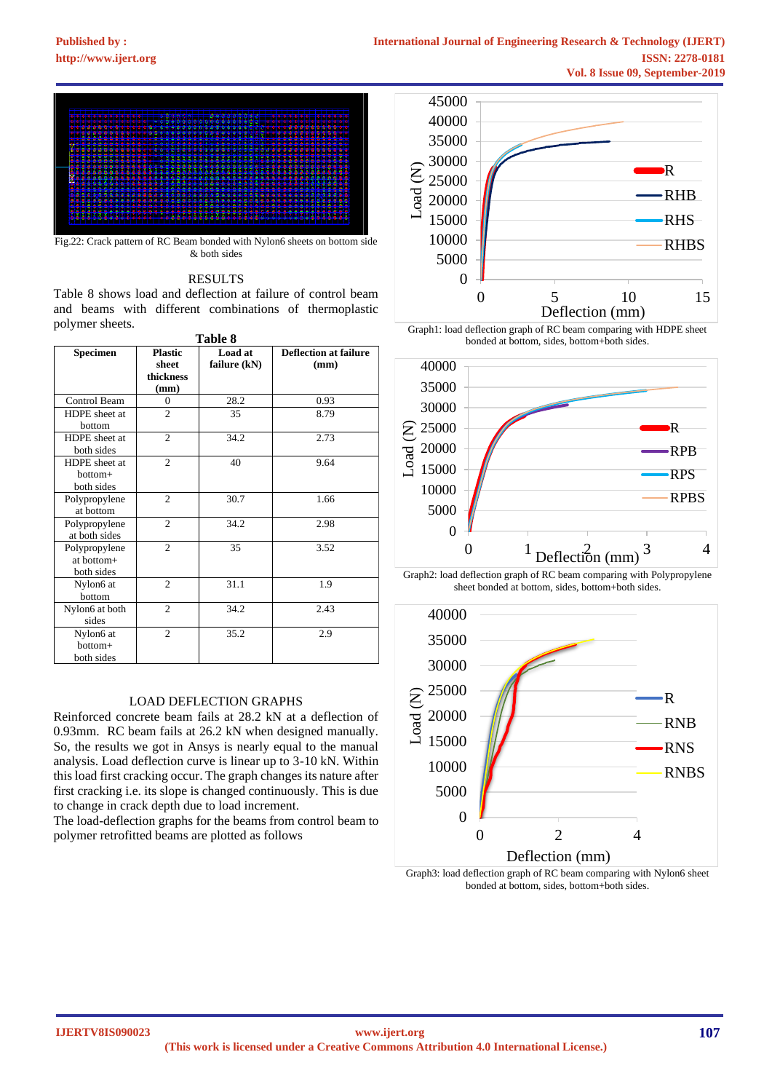

Fig.22: Crack pattern of RC Beam bonded with Nylon6 sheets on bottom side & both sides

## RESULTS

Table 8 shows load and deflection at failure of control beam and beams with different combinations of thermoplastic polymer sheets.

|                                           |                                              | Table 8                 |                                      |
|-------------------------------------------|----------------------------------------------|-------------------------|--------------------------------------|
| Specimen                                  | <b>Plastic</b><br>sheet<br>thickness<br>(mm) | Load at<br>failure (kN) | <b>Deflection at failure</b><br>(mm) |
| Control Beam                              | $\theta$                                     | 28.2                    | 0.93                                 |
| HDPE sheet at<br>bottom                   | $\overline{c}$                               | 35                      | 8.79                                 |
| HDPE sheet at<br>both sides               | $\overline{c}$                               | 34.2                    | 2.73                                 |
| HDPE sheet at<br>hottom+<br>both sides    | $\overline{c}$                               | 40                      | 9.64                                 |
| Polypropylene<br>at bottom                | $\overline{c}$                               | 30.7                    | 1.66                                 |
| Polypropylene<br>at both sides            | $\overline{2}$                               | 34.2                    | 2.98                                 |
| Polypropylene<br>at bottom+<br>both sides | $\overline{c}$                               | 35                      | 3.52                                 |
| Nylon6 at<br>bottom                       | $\overline{c}$                               | 31.1                    | 1.9                                  |
| Nylon6 at both<br>sides                   | $\overline{c}$                               | 34.2                    | 2.43                                 |
| Nylon6 at<br>bottom+<br>both sides        | $\overline{c}$                               | 35.2                    | 2.9                                  |

## LOAD DEFLECTION GRAPHS

Reinforced concrete beam fails at 28.2 kN at a deflection of 0.93mm. RC beam fails at 26.2 kN when designed manually. So, the results we got in Ansys is nearly equal to the manual analysis. Load deflection curve is linear up to 3-10 kN. Within this load first cracking occur. The graph changes its nature after first cracking i.e. its slope is changed continuously. This is due to change in crack depth due to load increment.

The load-deflection graphs for the beams from control beam to polymer retrofitted beams are plotted as follows



Graph1: load deflection graph of RC beam comparing with HDPE sheet bonded at bottom, sides, bottom+both sides.



Graph2: load deflection graph of RC beam comparing with Polypropylene sheet bonded at bottom, sides, bottom+both sides.



Graph3: load deflection graph of RC beam comparing with Nylon6 sheet bonded at bottom, sides, bottom+both sides.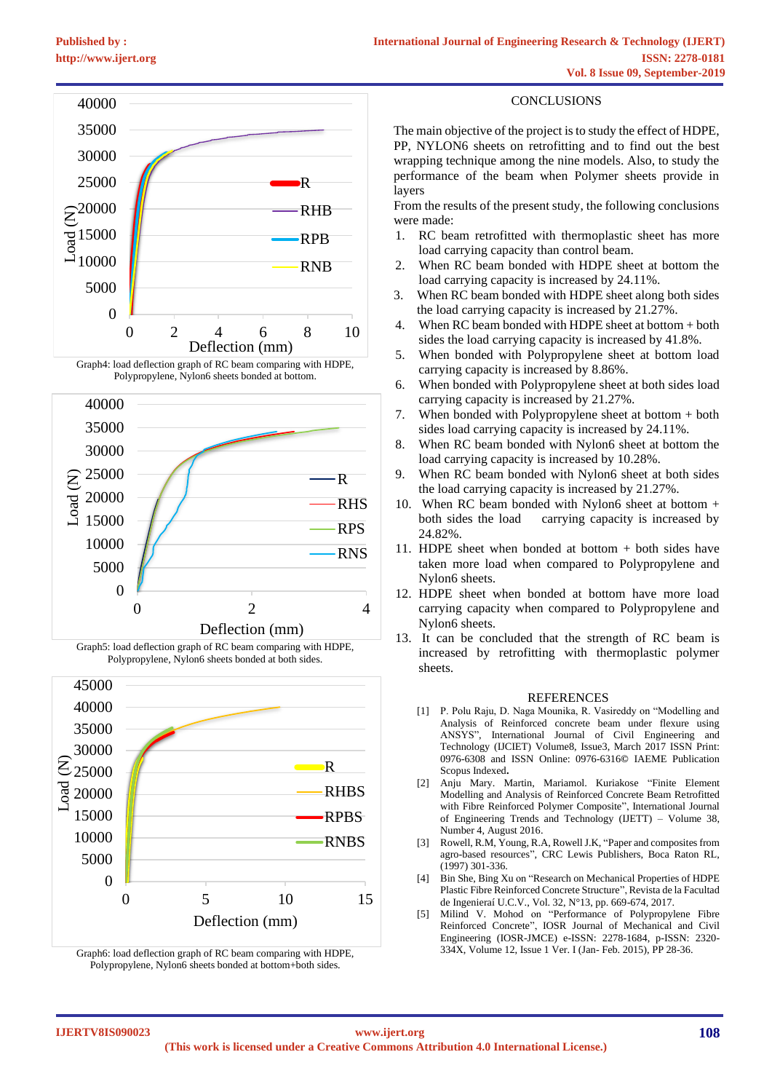









Graph6: load deflection graph of RC beam comparing with HDPE, Polypropylene, Nylon6 sheets bonded at bottom+both sides.

# CONCLUSIONS

The main objective of the project is to study the effect of HDPE, PP, NYLON6 sheets on retrofitting and to find out the best wrapping technique among the nine models. Also, to study the performance of the beam when Polymer sheets provide in layers

From the results of the present study, the following conclusions were made:

- 1. RC beam retrofitted with thermoplastic sheet has more load carrying capacity than control beam.
- 2. When RC beam bonded with HDPE sheet at bottom the load carrying capacity is increased by 24.11%.
- 3. When RC beam bonded with HDPE sheet along both sides the load carrying capacity is increased by 21.27%.
- 4. When RC beam bonded with HDPE sheet at bottom + both sides the load carrying capacity is increased by 41.8%.
- 5. When bonded with Polypropylene sheet at bottom load carrying capacity is increased by 8.86%.
- 6. When bonded with Polypropylene sheet at both sides load carrying capacity is increased by 21.27%.
- 7. When bonded with Polypropylene sheet at bottom + both sides load carrying capacity is increased by 24.11%.
- 8. When RC beam bonded with Nylon6 sheet at bottom the load carrying capacity is increased by 10.28%.
- 9. When RC beam bonded with Nylon6 sheet at both sides the load carrying capacity is increased by 21.27%.
- 10. When RC beam bonded with Nylon6 sheet at bottom + both sides the load carrying capacity is increased by 24.82%.
- 11. HDPE sheet when bonded at bottom + both sides have taken more load when compared to Polypropylene and Nylon6 sheets.
- 12. HDPE sheet when bonded at bottom have more load carrying capacity when compared to Polypropylene and Nylon6 sheets.
- 13. It can be concluded that the strength of RC beam is increased by retrofitting with thermoplastic polymer sheets.

#### REFERENCES

- [1] P. Polu Raju, D. Naga Mounika, R. Vasireddy on "Modelling and Analysis of Reinforced concrete beam under flexure using ANSYS", International Journal of Civil Engineering and Technology (IJCIET) Volume8, Issue3, March 2017 ISSN Print: 0976-6308 and ISSN Online: 0976-6316**©** IAEME Publication Scopus Indexed**.**
- [2] Anju Mary. Martin, Mariamol. Kuriakose "Finite Element Modelling and Analysis of Reinforced Concrete Beam Retrofitted with Fibre Reinforced Polymer Composite", International Journal of Engineering Trends and Technology (IJETT) – Volume 38, Number 4, August 2016.
- [3] Rowell, R.M, Young, R.A, Rowell J.K, "Paper and composites from agro-based resources", CRC Lewis Publishers, Boca Raton RL, (1997) 301-336.
- [4] Bin She, Bing Xu on "Research on Mechanical Properties of HDPE Plastic Fibre Reinforced Concrete Structure", Revista de la Facultad de Ingenieraí U.C.V., Vol. 32, N°13, pp. 669-674, 2017.
- [5] Milind V. Mohod on "Performance of Polypropylene Fibre Reinforced Concrete", IOSR Journal of Mechanical and Civil Engineering (IOSR-JMCE) e-ISSN: 2278-1684, p-ISSN: 2320- 334X, Volume 12, Issue 1 Ver. I (Jan- Feb. 2015), PP 28-36.